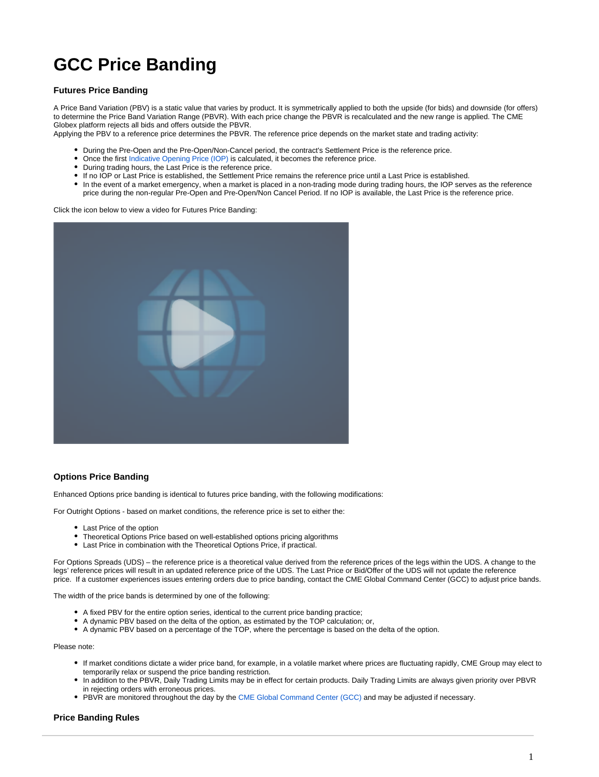## **GCC Price Banding**

## **Futures Price Banding**

A Price Band Variation (PBV) is a static value that varies by product. It is symmetrically applied to both the upside (for bids) and downside (for offers) to determine the Price Band Variation Range (PBVR). With each price change the PBVR is recalculated and the new range is applied. The CME Globex platform rejects all bids and offers outside the PBVR.

Applying the PBV to a reference price determines the PBVR. The reference price depends on the market state and trading activity:

- During the Pre-Open and the Pre-Open/Non-Cancel period, the contract's Settlement Price is the reference price.
- Once the first [Indicative Opening Price \(IOP\)](https://www.cmegroup.com/confluence/display/EPICSANDBOX/Indicative+Opening+Price) is calculated, it becomes the reference price.
- During trading hours, the Last Price is the reference price.
- If no IOP or Last Price is established, the Settlement Price remains the reference price until a Last Price is established.
- In the event of a market emergency, when a market is placed in a non-trading mode during trading hours, the IOP serves as the reference price during the non-regular Pre-Open and Pre-Open/Non Cancel Period. If no IOP is available, the Last Price is the reference price.

Click the icon below to view a video for Futures Price Banding:



## **Options Price Banding**

Enhanced Options price banding is identical to futures price banding, with the following modifications:

For Outright Options - based on market conditions, the reference price is set to either the:

- Last Price of the option
- Theoretical Options Price based on well-established options pricing algorithms
- Last Price in combination with the Theoretical Options Price, if practical.

For Options Spreads (UDS) – the reference price is a theoretical value derived from the reference prices of the legs within the UDS. A change to the legs' reference prices will result in an updated reference price of the UDS. The Last Price or Bid/Offer of the UDS will not update the reference price. If a customer experiences issues entering orders due to price banding, contact the CME Global Command Center (GCC) to adjust price bands.

The width of the price bands is determined by one of the following:

- A fixed PBV for the entire option series, identical to the current price banding practice;
- A dynamic PBV based on the delta of the option, as estimated by the TOP calculation; or,
- A dynamic PBV based on a percentage of the TOP, where the percentage is based on the delta of the option.

Please note:

- If market conditions dictate a wider price band, for example, in a volatile market where prices are fluctuating rapidly, CME Group may elect to temporarily relax or suspend the price banding restriction.
- In addition to the PBVR, Daily Trading Limits may be in effect for certain products. Daily Trading Limits are always given priority over PBVR in rejecting orders with erroneous prices.
- PBVR are monitored throughout the day by the [CME Global Command Center \(GCC\)](https://www.cmegroup.com/confluence/display/EPICSANDBOX/Contact+Information#ContactInformation-GlobalCommandCenter(GCC)) and may be adjusted if necessary.

## **Price Banding Rules**